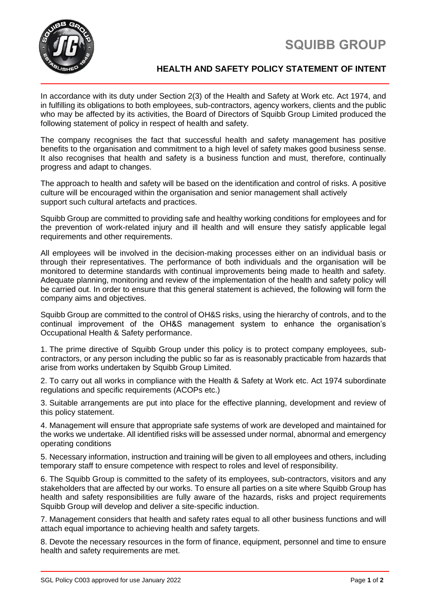



## **HEALTH AND SAFETY POLICY STATEMENT OF INTENT**

In accordance with its duty under Section 2(3) of the Health and Safety at Work etc. Act 1974, and in fulfilling its obligations to both employees, sub-contractors, agency workers, clients and the public who may be affected by its activities, the Board of Directors of Squibb Group Limited produced the following statement of policy in respect of health and safety.

The company recognises the fact that successful health and safety management has positive benefits to the organisation and commitment to a high level of safety makes good business sense. It also recognises that health and safety is a business function and must, therefore, continually progress and adapt to changes.

The approach to health and safety will be based on the identification and control of risks. A positive culture will be encouraged within the organisation and senior management shall actively support such cultural artefacts and practices.

Squibb Group are committed to providing safe and healthy working conditions for employees and for the prevention of work-related injury and ill health and will ensure they satisfy applicable legal requirements and other requirements.

All employees will be involved in the decision-making processes either on an individual basis or through their representatives. The performance of both individuals and the organisation will be monitored to determine standards with continual improvements being made to health and safety. Adequate planning, monitoring and review of the implementation of the health and safety policy will be carried out. In order to ensure that this general statement is achieved, the following will form the company aims and objectives.

Squibb Group are committed to the control of OH&S risks, using the hierarchy of controls, and to the continual improvement of the OH&S management system to enhance the organisation's Occupational Health & Safety performance.

1. The prime directive of Squibb Group under this policy is to protect company employees, subcontractors, or any person including the public so far as is reasonably practicable from hazards that arise from works undertaken by Squibb Group Limited.

2. To carry out all works in compliance with the Health & Safety at Work etc. Act 1974 subordinate regulations and specific requirements (ACOPs etc.)

3. Suitable arrangements are put into place for the effective planning, development and review of this policy statement.

4. Management will ensure that appropriate safe systems of work are developed and maintained for the works we undertake. All identified risks will be assessed under normal, abnormal and emergency operating conditions

5. Necessary information, instruction and training will be given to all employees and others, including temporary staff to ensure competence with respect to roles and level of responsibility.

6. The Squibb Group is committed to the safety of its employees, sub-contractors, visitors and any stakeholders that are affected by our works. To ensure all parties on a site where Squibb Group has health and safety responsibilities are fully aware of the hazards, risks and project requirements Squibb Group will develop and deliver a site-specific induction.

7. Management considers that health and safety rates equal to all other business functions and will attach equal importance to achieving health and safety targets.

8. Devote the necessary resources in the form of finance, equipment, personnel and time to ensure health and safety requirements are met.